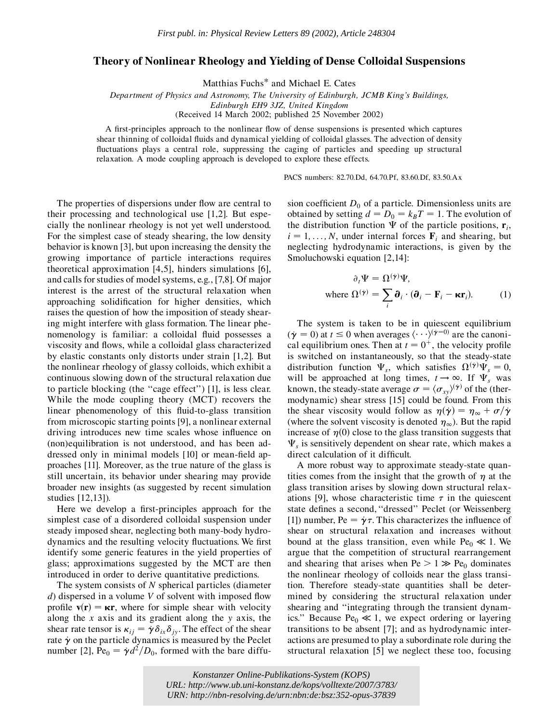## **Theory of Nonlinear Rheology and Yielding of Dense Colloidal Suspensions**

Matthias Fuchs\* and Michael E. Cates

*Department of Physics and Astronomy, The University of Edinburgh, JCMB King's Buildings, Edinburgh EH9 3JZ, United Kingdom*

(Received 14 March 2002; published 25 November 2002)

A first-principles approach to the nonlinear flow of dense suspensions is presented which captures shear thinning of colloidal fluids and dynamical yielding of colloidal glasses. The advection of density fluctuations plays a central role, suppressing the caging of particles and speeding up structural relaxation. A mode coupling approach is developed to explore these effects.

PACS numbers: 82.70.Dd, 64.70.Pf, 83.60.Df, 83.50.Ax

The properties of dispersions under flow are central to their processing and technological use [1,2]. But especially the nonlinear rheology is not yet well understood. For the simplest case of steady shearing, the low density behavior is known [3], but upon increasing the density the growing importance of particle interactions requires theoretical approximation [4,5], hinders simulations [6], and calls for studies of model systems, e.g., [7,8]. Of major interest is the arrest of the structural relaxation when approaching solidification for higher densities, which raises the question of how the imposition of steady shearing might interfere with glass formation. The linear phenomenology is familiar: a colloidal fluid possesses a viscosity and flows, while a colloidal glass characterized by elastic constants only distorts under strain [1,2]. But the nonlinear rheology of glassy colloids, which exhibit a continuous slowing down of the structural relaxation due to particle blocking (the ''cage effect'') [1], is less clear. While the mode coupling theory (MCT) recovers the linear phenomenology of this fluid-to-glass transition from microscopic starting points [9], a nonlinear external driving introduces new time scales whose influence on (non)equilibration is not understood, and has been addressed only in minimal models [10] or mean-field approaches [11]. Moreover, as the true nature of the glass is still uncertain, its behavior under shearing may provide broader new insights (as suggested by recent simulation studies [12,13]).

Here we develop a first-principles approach for the simplest case of a disordered colloidal suspension under steady imposed shear, neglecting both many-body hydrodynamics and the resulting velocity fluctuations. We first identify some generic features in the yield properties of glass; approximations suggested by the MCT are then introduced in order to derive quantitative predictions.

The system consists of *N* spherical particles (diameter *d*) dispersed in a volume *V* of solvent with imposed flow profile  $\mathbf{v}(\mathbf{r}) = \kappa \mathbf{r}$ , where for simple shear with velocity along the *x* axis and its gradient along the *y* axis, the shear rate tensor is  $\kappa_{ij} = \dot{\gamma} \delta_{ix} \delta_{jy}$ . The effect of the shear rate  $\dot{\gamma}$  on the particle dynamics is measured by the Peclet number [2], Pe<sub>0</sub> =  $\dot{\gamma}d^2/D_0$ , formed with the bare diffusion coefficient  $D_0$  of a particle. Dimensionless units are obtained by setting  $d = D_0 = k_B T = 1$ . The evolution of the distribution function  $\Psi$  of the particle positions,  $\mathbf{r}_i$ ,  $i = 1, \ldots, N$ , under internal forces  $\mathbf{F}_i$  and shearing, but neglecting hydrodynamic interactions, is given by the Smoluchowski equation [2,14]:

$$
\partial_i \Psi = \Omega^{(i)} \Psi,
$$
  
where  $\Omega^{(i)} = \sum_i \partial_i \cdot (\partial_i - \mathbf{F}_i - \kappa \mathbf{r}_i).$  (1)

The system is taken to be in quiescent equilibrium  $(\dot{\gamma} = 0)$  at  $t \leq 0$  when averages  $\langle \cdots \rangle^{(\dot{\gamma}=0)}$  are the canonical equilibrium ones. Then at  $t = 0^+$ , the velocity profile is switched on instantaneously, so that the steady-state distribution function  $\Psi_s$ , which satisfies  $\Omega^{(\dot{\gamma})}\Psi_s = 0$ , will be approached at long times,  $t \rightarrow \infty$ . If  $\Psi_s$  was known, the steady-state average  $\sigma = \langle \sigma_{xy} \rangle^{(\dot{\gamma})}$  of the (thermodynamic) shear stress [15] could be found. From this the shear viscosity would follow as  $\eta(\dot{\gamma}) = \eta_{\infty} + \sigma/\dot{\gamma}$ (where the solvent viscosity is denoted  $\eta_{\infty}$ ). But the rapid increase of  $\eta(0)$  close to the glass transition suggests that  $\Psi_s$  is sensitively dependent on shear rate, which makes a direct calculation of it difficult.

A more robust way to approximate steady-state quantities comes from the insight that the growth of  $\eta$  at the glass transition arises by slowing down structural relaxations [9], whose characteristic time  $\tau$  in the quiescent state defines a second,''dressed'' Peclet (or Weissenberg [1]) number, Pe  $= \dot{\gamma} \tau$ . This characterizes the influence of shear on structural relaxation and increases without bound at the glass transition, even while  $Pe_0 \ll 1$ . We argue that the competition of structural rearrangement and shearing that arises when  $Pe > 1 \gg Pe_0$  dominates the nonlinear rheology of colloids near the glass transition. Therefore steady-state quantities shall be determined by considering the structural relaxation under shearing and ''integrating through the transient dynamics." Because  $Pe_0 \ll 1$ , we expect ordering or layering transitions to be absent [7]; and as hydrodynamic interactions are presumed to play a subordinate role during the structural relaxation [5] we neglect these too, focusing

**248304-1 248304-1 248304-248304-1 2003 American Publikations-System (KOPS)** *Konstanzer Online-Publikations-System (KOPS) URL:<http://www.ub.uni-konstanz.de/kops/volltexte/2007/3783/> URN:<http://nbn-resolving.de/urn:nbn:de:bsz:352-opus-37839>*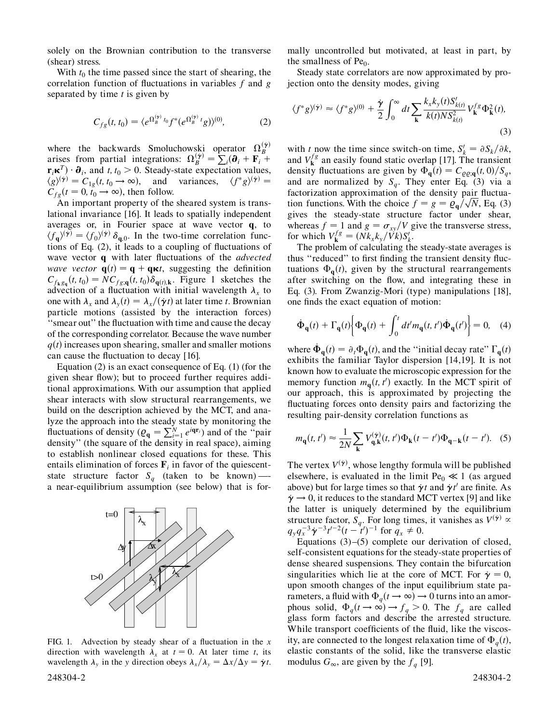solely on the Brownian contribution to the transverse (shear) stress.

With  $t_0$  the time passed since the start of shearing, the correlation function of fluctuations in variables *f* and *g* separated by time *t* is given by

$$
C_{fg}(t, t_0) = \langle e^{\Omega_B^{(\gamma)} t_0} f^*(e^{\Omega_B^{(\gamma)} t} g) \rangle^{(0)}, \tag{2}
$$

where the backwards Smoluchowski operator  $\Omega_B^{(\gamma)}$ arises from partial integrations:  $\Omega_B^{(\dot{\gamma})}$  $\frac{f^{(y)}}{B} = \sum_{i} (\partial_i + \mathbf{F}_i +$  $\mathbf{r}_i \mathbf{\kappa}^T$ )  $\cdot \mathbf{\partial}_i$ , and *t*,  $t_0 > 0$ . Steady-state expectation values,  $\langle g \rangle^{(\dot{\gamma})} = C_{1g}(t, t_0 \to \infty)$ , and variances,  $\langle f^* g \rangle^{(\dot{\gamma})} =$  $C_{fg}(t=0, t_0 \rightarrow \infty)$ , then follow.

An important property of the sheared system is translational invariance [16]. It leads to spatially independent averages or, in Fourier space at wave vector **q**, to  $\langle f_{\mathbf{q}} \rangle^{(\dot{\gamma})} = \langle f_0 \rangle^{(\dot{\gamma})} \delta_{\mathbf{q},0}$ . In the two-time correlation functions of Eq. (2), it leads to a coupling of fluctuations of wave vector **q** with later fluctuations of the *advected wave vector*  $\mathbf{q}(t) = \mathbf{q} + \mathbf{q}\mathbf{\kappa}t$ , suggesting the definition  $C_{f_k g_q}(t, t_0) = NC_{f_g(q)}(t, t_0) \delta_{q(t), k}$ . Figure 1 sketches the advection of a fluctuation with initial wavelength  $\lambda_x$  to one with  $\lambda_x$  and  $\lambda_y(t) = \lambda_x/(\dot{\gamma}t)$  at later time *t*. Brownian particle motions (assisted by the interaction forces) ''smear out'' the fluctuation with time and cause the decay of the corresponding correlator. Because the wave number  $q(t)$  increases upon shearing, smaller and smaller motions can cause the fluctuation to decay [16].

Equation (2) is an exact consequence of Eq. (1) (for the given shear flow); but to proceed further requires additional approximations. With our assumption that applied shear interacts with slow structural rearrangements, we build on the description achieved by the MCT, and analyze the approach into the steady state by monitoring the fluctuations of density ( $\varrho_q = \sum_{i=1}^{N} e^{iqr_i}$ ) and of the "pair density'' (the square of the density in real space), aiming to establish nonlinear closed equations for these. This entails elimination of forces  $\mathbf{F}_i$  in favor of the quiescentstate structure factor  $S_q$  (taken to be known) —a near-equilibrium assumption (see below) that is for-



FIG. 1. Advection by steady shear of a fluctuation in the *x* direction with wavelength  $\lambda_x$  at  $t = 0$ . At later time *t*, its wavelength  $\lambda_y$  in the *y* direction obeys  $\lambda_x/\lambda_y = \Delta x/\Delta y = \dot{\gamma}t$ . 248304-2 248304-2

mally uncontrolled but motivated, at least in part, by the smallness of  $Pe_0$ .

Steady state correlators are now approximated by projection onto the density modes, giving

$$
\langle f^*g \rangle^{(\dot{\gamma})} \approx \langle f^*g \rangle^{(0)} + \frac{\dot{\gamma}}{2} \int_0^\infty dt \sum_{\mathbf{k}} \frac{k_x k_y(t) S'_{k(t)}}{k(t) N S_{k(t)}^2} V_{\mathbf{k}}^{fg} \Phi_{\mathbf{k}}^2(t),
$$
\n(3)

with *t* now the time since switch-on time,  $S'_k = \partial S_k / \partial k$ , and  $V_k^{fg}$  an easily found static overlap [17]. The transient density fluctuations are given by  $\Phi_{\bf q}(t) = C_{\rho \rho; \bf q}(t, 0)/S_q$ , and are normalized by  $S_a$ . They enter Eq. (3) via a factorization approximation of the density pair fluctuafactorization approximation of the density pair fluctuation functions. With the choice  $f = g = \rho_q / \sqrt{N}$ , Eq. (3) gives the steady-state structure factor under shear, whereas  $f = 1$  and  $g = \frac{\sigma_{xy}}{V}$  give the transverse stress, for which  $V_k^{fg} = (Nk_x k_y / \tilde{V}k) S_k^{\prime}$ .

The problem of calculating the steady-state averages is thus ''reduced'' to first finding the transient density fluctuations  $\Phi_{\bf q}(t)$ , given by the structural rearrangements after switching on the flow, and integrating these in Eq. (3). From Zwanzig-Mori (type) manipulations [18], one finds the exact equation of motion:

$$
\dot{\Phi}_{\mathbf{q}}(t) + \Gamma_{\mathbf{q}}(t) \bigg\{ \Phi_{\mathbf{q}}(t) + \int_0^t dt' m_{\mathbf{q}}(t, t') \dot{\Phi}_{\mathbf{q}}(t') \bigg\} = 0, \quad (4)
$$

where  $\dot{\Phi}_q(t) = \partial_t \Phi_q(t)$ , and the "initial decay rate"  $\Gamma_q(t)$ exhibits the familiar Taylor dispersion [14,19]. It is not known how to evaluate the microscopic expression for the memory function  $m_q(t, t')$  exactly. In the MCT spirit of our approach, this is approximated by projecting the fluctuating forces onto density pairs and factorizing the resulting pair-density correlation functions as

$$
m_{\mathbf{q}}(t, t') \approx \frac{1}{2N} \sum_{\mathbf{k}} V_{\mathbf{q}, \mathbf{k}}^{(\dot{\gamma})}(t, t') \Phi_{\mathbf{k}}(t - t') \Phi_{\mathbf{q} - \mathbf{k}}(t - t'). \quad (5)
$$

The vertex  $V^{(\gamma)}$ , whose lengthy formula will be published elsewhere, is evaluated in the limit  $Pe_0 \ll 1$  (as argued above) but for large times so that  $\dot{\gamma}$  and  $\dot{\gamma}$  or finite. As  $\dot{\gamma} \rightarrow 0$ , it reduces to the standard MCT vertex [9] and like the latter is uniquely determined by the equilibrium structure factor,  $S_q$ . For long times, it vanishes as  $V^{(\dot{\gamma})} \propto$  $q_y q_x^{-3} \dot{\gamma}^{-3} t^{t-2} (t - t')^{-1}$  for  $q_x \neq 0$ .

Equations (3)–(5) complete our derivation of closed, self-consistent equations for the steady-state properties of dense sheared suspensions. They contain the bifurcation singularities which lie at the core of MCT. For  $\dot{\gamma} = 0$ , upon smooth changes of the input equilibrium state parameters, a fluid with  $\Phi_q(t \to \infty) \to 0$  turns into an amorphous solid,  $\Phi_q(t \to \infty) \to f_q > 0$ . The  $f_q$  are called glass form factors and describe the arrested structure. While transport coefficients of the fluid, like the viscosity, are connected to the longest relaxation time of  $\Phi_q(t)$ , elastic constants of the solid, like the transverse elastic modulus  $G_{\infty}$ , are given by the  $f_q$  [9].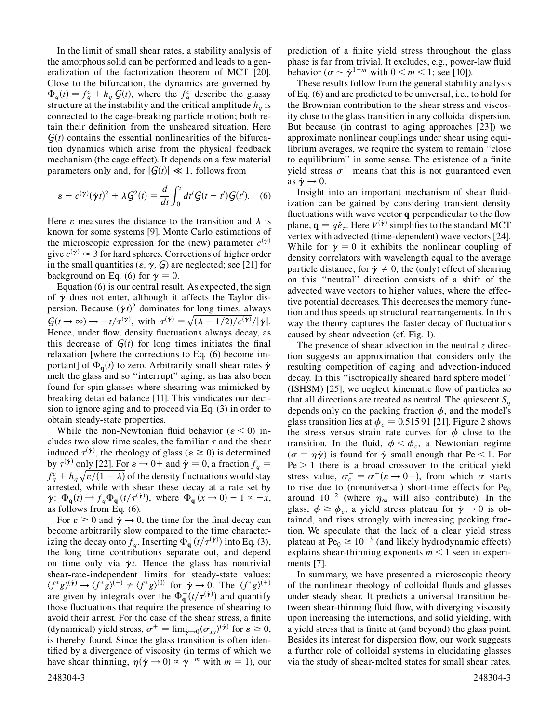In the limit of small shear rates, a stability analysis of the amorphous solid can be performed and leads to a generalization of the factorization theorem of MCT [20]. Close to the bifurcation, the dynamics are governed by  $\Phi_q(t) = f_q^c + h_q G(t)$ , where the  $f_q^c$  describe the glassy structure at the instability and the critical amplitude  $h_q$  is connected to the cage-breaking particle motion; both retain their definition from the unsheared situation. Here  $G(t)$  contains the essential nonlinearities of the bifurcation dynamics which arise from the physical feedback mechanism (the cage effect). It depends on a few material parameters only and, for  $|G(t)| \ll 1$ , follows from

$$
\varepsilon - c^{(\dot{\gamma})}(\dot{\gamma}t)^2 + \lambda G^2(t) = \frac{d}{dt} \int_0^t dt' G(t - t')G(t'). \quad (6)
$$

Here  $\varepsilon$  measures the distance to the transition and  $\lambda$  is known for some systems [9]. Monte Carlo estimations of the microscopic expression for the (new) parameter  $c^{(\gamma)}$ give  $c^{(\gamma)} \approx 3$  for hard spheres. Corrections of higher order in the small quantities ( $\varepsilon$ ,  $\dot{\gamma}$ ,  $\zeta$ ) are neglected; see [21] for background on Eq. (6) for  $\dot{\gamma} = 0$ .

Equation (6) is our central result. As expected, the sign of  $\dot{\gamma}$  does not enter, although it affects the Taylor dispersion. Because  $(\dot{\gamma}t)^2$  dominates for long times, always  $G(t \to \infty) \to -t/\tau^{(\gamma)}$ , with  $\tau^{(\gamma)} = \sqrt{(\lambda - 1/2)/c^{(\gamma)}}/|\dot{\gamma}|$ . Hence, under flow, density fluctuations always decay, as this decrease of  $G(t)$  for long times initiates the final relaxation [where the corrections to Eq. (6) become important] of  $\Phi_{\bf q}(t)$  to zero. Arbitrarily small shear rates  $\dot{\gamma}$ melt the glass and so ''interrupt'' aging, as has also been found for spin glasses where shearing was mimicked by breaking detailed balance [11]. This vindicates our decision to ignore aging and to proceed via Eq. (3) in order to obtain steady-state properties.

While the non-Newtonian fluid behavior  $(\varepsilon < 0)$  includes two slow time scales, the familiar  $\tau$  and the shear induced  $\tau^{(\dot{\gamma})}$ , the rheology of glass ( $\varepsilon \ge 0$ ) is determined by  $\tau^{(\gamma)}$  only [22]. For  $\varepsilon \to 0^+$  and  $\dot{\gamma} = 0$ , a fraction  $f_q =$  $f_q^c + h_q \sqrt{\varepsilon/(1-\lambda)}$  of the density fluctuations would stay arrested, while with shear these decay at a rate set by  $\dot{\gamma}$ :  $\Phi_{\mathbf{q}}(t) \rightarrow f_q \Phi_{\mathbf{q}}^+(t/\tau^{(\dot{\gamma})})$ , where  $\Phi_{\mathbf{q}}^+(x \rightarrow 0) - 1 \propto -x$ , as follows from Eq. (6).

For  $\varepsilon \ge 0$  and  $\dot{\gamma} \rightarrow 0$ , the time for the final decay can become arbitrarily slow compared to the time characterizing the decay onto  $f_q$ . Inserting  $\Phi_q^+(t/\tau^{(\dot{\gamma})})$  into Eq. (3), the long time contributions separate out, and depend on time only via  $\dot{\gamma}$ *t*. Hence the glass has nontrivial shear-rate-independent limits for steady-state values:  $\langle f^*g \rangle^{(\dot{\gamma})} \to \langle f^*g \rangle^{(+)} \neq \langle f^*g \rangle^{(0)}$  for  $\dot{\gamma} \to 0$ . The  $\langle f^*g \rangle^{(+)}$ are given by integrals over the  $\Phi_q^+(t/\tau^{(\gamma)})$  and quantify those fluctuations that require the presence of shearing to avoid their arrest. For the case of the shear stress, a finite (dynamical) yield stress,  $\sigma^+ = \lim_{\gamma \to 0} \langle \sigma_{xy} \rangle^{(\gamma)}$  for  $\varepsilon \ge 0$ , is thereby found. Since the glass transition is often identified by a divergence of viscosity (in terms of which we have shear thinning,  $\eta(\dot{\gamma} \to 0) \propto \dot{\gamma}^{-m}$  with  $m = 1$ ), our prediction of a finite yield stress throughout the glass phase is far from trivial. It excludes, e.g., power-law fluid behavior ( $\sigma \sim \dot{\gamma}^{1-m}$  with  $0 \le m \le 1$ ; see [10]).

These results follow from the general stability analysis of Eq. (6) and are predicted to be universal, i.e., to hold for the Brownian contribution to the shear stress and viscosity close to the glass transition in any colloidal dispersion. But because (in contrast to aging approaches [23]) we approximate nonlinear couplings under shear using equilibrium averages, we require the system to remain ''close to equilibrium'' in some sense. The existence of a finite yield stress  $\sigma^+$  means that this is not guaranteed even as  $\dot{\gamma} \rightarrow 0$ .

Insight into an important mechanism of shear fluidization can be gained by considering transient density fluctuations with wave vector **q** perpendicular to the flow plane,  $\mathbf{q} = q\hat{\boldsymbol{e}}_z$ . Here  $V^{(\dot{\boldsymbol{\gamma}})}$  simplifies to the standard MCT vertex with advected (time-dependent) wave vectors [24]. While for  $\dot{\gamma} = 0$  it exhibits the nonlinear coupling of density correlators with wavelength equal to the average particle distance, for  $\dot{\gamma} \neq 0$ , the (only) effect of shearing on this ''neutral'' direction consists of a shift of the advected wave vectors to higher values, where the effective potential decreases. This decreases the memory function and thus speeds up structural rearrangements. In this way the theory captures the faster decay of fluctuations caused by shear advection (cf. Fig. 1).

The presence of shear advection in the neutral *z* direction suggests an approximation that considers only the resulting competition of caging and advection-induced decay. In this ''isotropically sheared hard sphere model'' (ISHSM) [25], we neglect kinematic flow of particles so that all directions are treated as neutral. The quiescent  $S_a$ depends only on the packing fraction  $\phi$ , and the model's glass transition lies at  $\phi_c = 0.51591$  [21]. Figure 2 shows the stress versus strain rate curves for  $\phi$  close to the transition. In the fluid,  $\phi < \phi_c$ , a Newtonian regime  $(\sigma = \eta \dot{\gamma})$  is found for  $\dot{\gamma}$  small enough that Pe < 1. For  $Pe > 1$  there is a broad crossover to the critical yield stress value,  $\sigma_c^+ = \sigma^+ (\varepsilon \to 0+),$  from which  $\sigma$  starts to rise due to (nonuniversal) short-time effects for  $Pe_0$ around  $10^{-2}$  (where  $\eta_{\infty}$  will also contribute). In the glass,  $\phi \ge \phi_c$ , a yield stress plateau for  $\dot{\gamma} \rightarrow 0$  is obtained, and rises strongly with increasing packing fraction. We speculate that the lack of a clear yield stress plateau at  $Pe_0 \ge 10^{-3}$  (and likely hydrodynamic effects) explains shear-thinning exponents  $m < 1$  seen in experiments [7].

In summary, we have presented a microscopic theory of the nonlinear rheology of colloidal fluids and glasses under steady shear. It predicts a universal transition between shear-thinning fluid flow, with diverging viscosity upon increasing the interactions, and solid yielding, with a yield stress that is finite at (and beyond) the glass point. Besides its interest for dispersion flow, our work suggests a further role of colloidal systems in elucidating glasses via the study of shear-melted states for small shear rates.